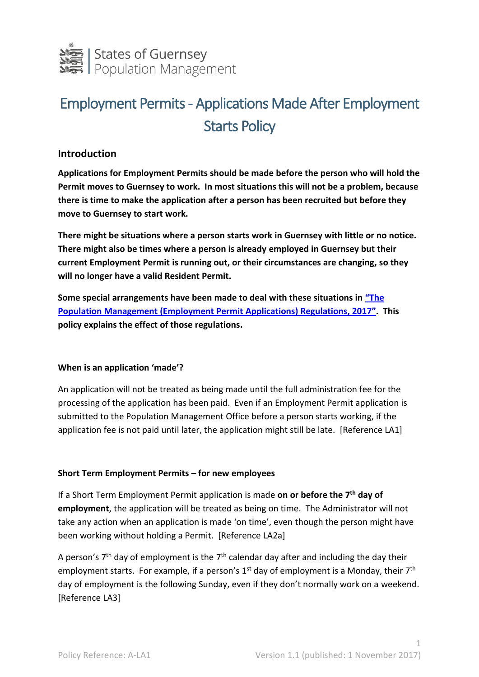

# Employment Permits - Applications Made After Employment Starts Policy

## **Introduction**

**Applications for Employment Permits should be made before the person who will hold the Permit moves to Guernsey to work. In most situations this will not be a problem, because there is time to make the application after a person has been recruited but before they move to Guernsey to start work.**

**There might be situations where a person starts work in Guernsey with little or no notice. There might also be times where a person is already employed in Guernsey but their current Employment Permit is running out, or their circumstances are changing, so they will no longer have a valid Resident Permit.**

**Some special arrangements have been made to deal with these situations in ["The](http://www.guernseylegalresources.gg/article/154337/Population-Management-Guernsey-Law-2016)  [Population Management \(Employment Permit Applications\) Regulations, 201](http://www.guernseylegalresources.gg/article/154337/Population-Management-Guernsey-Law-2016)7". This policy explains the effect of those regulations.** 

## **When is an application 'made'?**

An application will not be treated as being made until the full administration fee for the processing of the application has been paid. Even if an Employment Permit application is submitted to the Population Management Office before a person starts working, if the application fee is not paid until later, the application might still be late. [Reference LA1]

## **Short Term Employment Permits – for new employees**

If a Short Term Employment Permit application is made on or before the 7<sup>th</sup> day of **employment**, the application will be treated as being on time. The Administrator will not take any action when an application is made 'on time', even though the person might have been working without holding a Permit. [Reference LA2a]

A person's  $7<sup>th</sup>$  day of employment is the  $7<sup>th</sup>$  calendar day after and including the day their employment starts. For example, if a person's  $1<sup>st</sup>$  day of employment is a Monday, their  $7<sup>th</sup>$ day of employment is the following Sunday, even if they don't normally work on a weekend. [Reference LA3]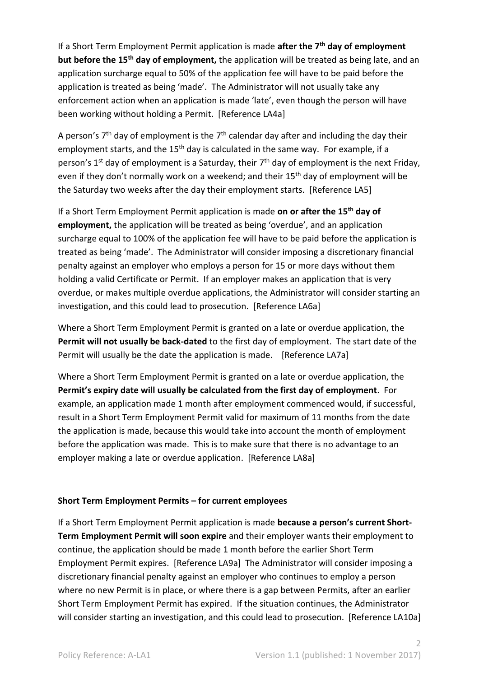If a Short Term Employment Permit application is made **after the 7 th day of employment but before the 15th day of employment,** the application will be treated as being late, and an application surcharge equal to 50% of the application fee will have to be paid before the application is treated as being 'made'. The Administrator will not usually take any enforcement action when an application is made 'late', even though the person will have been working without holding a Permit. [Reference LA4a]

A person's  $7<sup>th</sup>$  day of employment is the  $7<sup>th</sup>$  calendar day after and including the day their employment starts, and the 15<sup>th</sup> day is calculated in the same way. For example, if a person's 1<sup>st</sup> day of employment is a Saturday, their 7<sup>th</sup> day of employment is the next Friday, even if they don't normally work on a weekend; and their 15<sup>th</sup> day of employment will be the Saturday two weeks after the day their employment starts. [Reference LA5]

If a Short Term Employment Permit application is made **on or after the 15th day of employment,** the application will be treated as being 'overdue', and an application surcharge equal to 100% of the application fee will have to be paid before the application is treated as being 'made'. The Administrator will consider imposing a discretionary financial penalty against an employer who employs a person for 15 or more days without them holding a valid Certificate or Permit. If an employer makes an application that is very overdue, or makes multiple overdue applications, the Administrator will consider starting an investigation, and this could lead to prosecution. [Reference LA6a]

Where a Short Term Employment Permit is granted on a late or overdue application, the **Permit will not usually be back-dated** to the first day of employment. The start date of the Permit will usually be the date the application is made. [Reference LA7a]

Where a Short Term Employment Permit is granted on a late or overdue application, the **Permit's expiry date will usually be calculated from the first day of employment**. For example, an application made 1 month after employment commenced would, if successful, result in a Short Term Employment Permit valid for maximum of 11 months from the date the application is made, because this would take into account the month of employment before the application was made. This is to make sure that there is no advantage to an employer making a late or overdue application. [Reference LA8a]

## **Short Term Employment Permits – for current employees**

If a Short Term Employment Permit application is made **because a person's current Short-Term Employment Permit will soon expire** and their employer wants their employment to continue, the application should be made 1 month before the earlier Short Term Employment Permit expires. [Reference LA9a] The Administrator will consider imposing a discretionary financial penalty against an employer who continues to employ a person where no new Permit is in place, or where there is a gap between Permits, after an earlier Short Term Employment Permit has expired. If the situation continues, the Administrator will consider starting an investigation, and this could lead to prosecution. [Reference LA10a]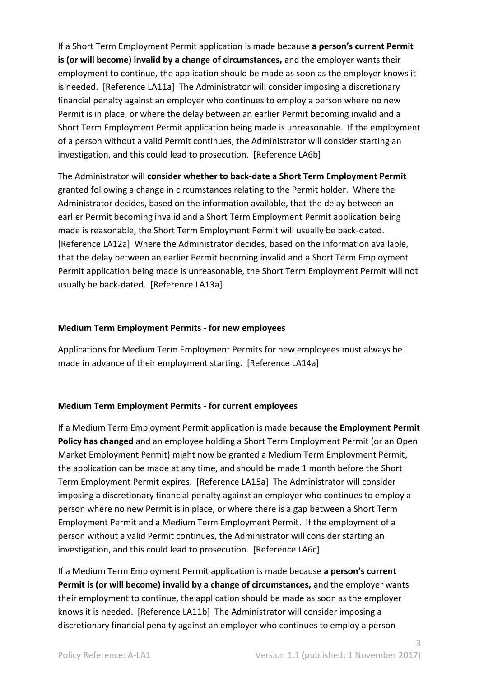If a Short Term Employment Permit application is made because **a person's current Permit is (or will become) invalid by a change of circumstances,** and the employer wants their employment to continue, the application should be made as soon as the employer knows it is needed. [Reference LA11a] The Administrator will consider imposing a discretionary financial penalty against an employer who continues to employ a person where no new Permit is in place, or where the delay between an earlier Permit becoming invalid and a Short Term Employment Permit application being made is unreasonable. If the employment of a person without a valid Permit continues, the Administrator will consider starting an investigation, and this could lead to prosecution. [Reference LA6b]

The Administrator will **consider whether to back-date a Short Term Employment Permit** granted following a change in circumstances relating to the Permit holder. Where the Administrator decides, based on the information available, that the delay between an earlier Permit becoming invalid and a Short Term Employment Permit application being made is reasonable, the Short Term Employment Permit will usually be back-dated. [Reference LA12a] Where the Administrator decides, based on the information available, that the delay between an earlier Permit becoming invalid and a Short Term Employment Permit application being made is unreasonable, the Short Term Employment Permit will not usually be back-dated. [Reference LA13a]

## **Medium Term Employment Permits - for new employees**

Applications for Medium Term Employment Permits for new employees must always be made in advance of their employment starting. [Reference LA14a]

## **Medium Term Employment Permits - for current employees**

If a Medium Term Employment Permit application is made **because the Employment Permit Policy has changed** and an employee holding a Short Term Employment Permit (or an Open Market Employment Permit) might now be granted a Medium Term Employment Permit, the application can be made at any time, and should be made 1 month before the Short Term Employment Permit expires. [Reference LA15a] The Administrator will consider imposing a discretionary financial penalty against an employer who continues to employ a person where no new Permit is in place, or where there is a gap between a Short Term Employment Permit and a Medium Term Employment Permit. If the employment of a person without a valid Permit continues, the Administrator will consider starting an investigation, and this could lead to prosecution. [Reference LA6c]

If a Medium Term Employment Permit application is made because **a person's current Permit is (or will become) invalid by a change of circumstances,** and the employer wants their employment to continue, the application should be made as soon as the employer knows it is needed. [Reference LA11b] The Administrator will consider imposing a discretionary financial penalty against an employer who continues to employ a person

3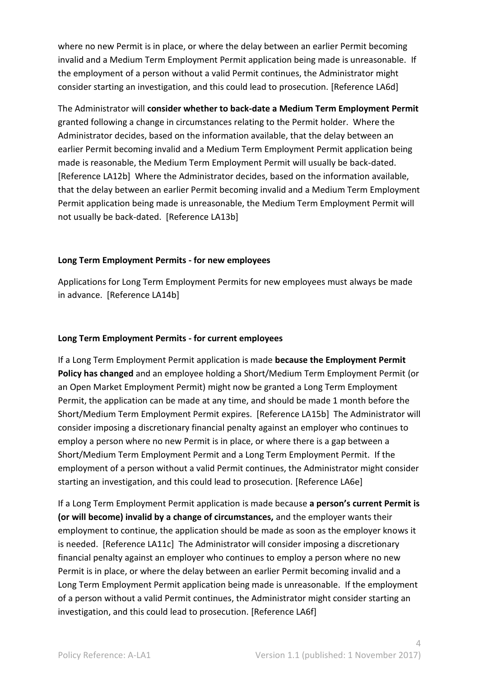where no new Permit is in place, or where the delay between an earlier Permit becoming invalid and a Medium Term Employment Permit application being made is unreasonable. If the employment of a person without a valid Permit continues, the Administrator might consider starting an investigation, and this could lead to prosecution. [Reference LA6d]

The Administrator will **consider whether to back-date a Medium Term Employment Permit** granted following a change in circumstances relating to the Permit holder. Where the Administrator decides, based on the information available, that the delay between an earlier Permit becoming invalid and a Medium Term Employment Permit application being made is reasonable, the Medium Term Employment Permit will usually be back-dated. [Reference LA12b] Where the Administrator decides, based on the information available, that the delay between an earlier Permit becoming invalid and a Medium Term Employment Permit application being made is unreasonable, the Medium Term Employment Permit will not usually be back-dated. [Reference LA13b]

## **Long Term Employment Permits - for new employees**

Applications for Long Term Employment Permits for new employees must always be made in advance. [Reference LA14b]

## **Long Term Employment Permits - for current employees**

If a Long Term Employment Permit application is made **because the Employment Permit Policy has changed** and an employee holding a Short/Medium Term Employment Permit (or an Open Market Employment Permit) might now be granted a Long Term Employment Permit, the application can be made at any time, and should be made 1 month before the Short/Medium Term Employment Permit expires. [Reference LA15b] The Administrator will consider imposing a discretionary financial penalty against an employer who continues to employ a person where no new Permit is in place, or where there is a gap between a Short/Medium Term Employment Permit and a Long Term Employment Permit. If the employment of a person without a valid Permit continues, the Administrator might consider starting an investigation, and this could lead to prosecution. [Reference LA6e]

If a Long Term Employment Permit application is made because **a person's current Permit is (or will become) invalid by a change of circumstances,** and the employer wants their employment to continue, the application should be made as soon as the employer knows it is needed. [Reference LA11c] The Administrator will consider imposing a discretionary financial penalty against an employer who continues to employ a person where no new Permit is in place, or where the delay between an earlier Permit becoming invalid and a Long Term Employment Permit application being made is unreasonable. If the employment of a person without a valid Permit continues, the Administrator might consider starting an investigation, and this could lead to prosecution. [Reference LA6f]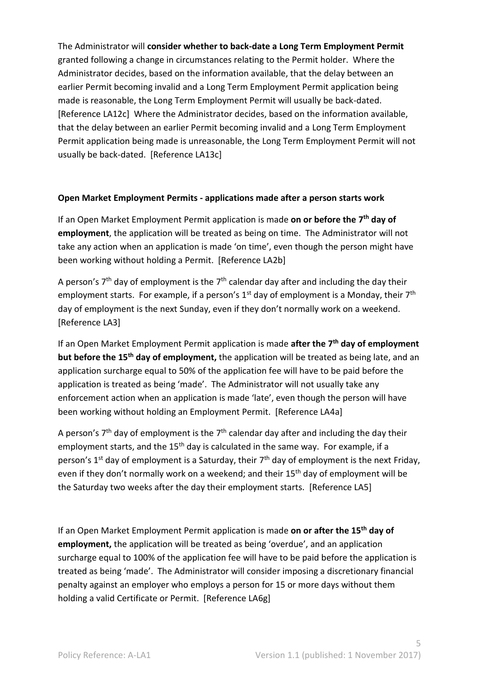The Administrator will **consider whether to back-date a Long Term Employment Permit** granted following a change in circumstances relating to the Permit holder. Where the Administrator decides, based on the information available, that the delay between an earlier Permit becoming invalid and a Long Term Employment Permit application being made is reasonable, the Long Term Employment Permit will usually be back-dated. [Reference LA12c] Where the Administrator decides, based on the information available, that the delay between an earlier Permit becoming invalid and a Long Term Employment Permit application being made is unreasonable, the Long Term Employment Permit will not usually be back-dated. [Reference LA13c]

## **Open Market Employment Permits - applications made after a person starts work**

If an Open Market Employment Permit application is made on or before the 7<sup>th</sup> day of **employment**, the application will be treated as being on time. The Administrator will not take any action when an application is made 'on time', even though the person might have been working without holding a Permit. [Reference LA2b]

A person's  $7<sup>th</sup>$  day of employment is the  $7<sup>th</sup>$  calendar day after and including the day their employment starts. For example, if a person's  $1<sup>st</sup>$  day of employment is a Monday, their  $7<sup>th</sup>$ day of employment is the next Sunday, even if they don't normally work on a weekend. [Reference LA3]

If an Open Market Employment Permit application is made **after the 7 th day of employment but before the 15th day of employment,** the application will be treated as being late, and an application surcharge equal to 50% of the application fee will have to be paid before the application is treated as being 'made'. The Administrator will not usually take any enforcement action when an application is made 'late', even though the person will have been working without holding an Employment Permit. [Reference LA4a]

A person's  $7<sup>th</sup>$  day of employment is the  $7<sup>th</sup>$  calendar day after and including the day their employment starts, and the 15<sup>th</sup> day is calculated in the same way. For example, if a person's 1<sup>st</sup> day of employment is a Saturday, their 7<sup>th</sup> day of employment is the next Friday, even if they don't normally work on a weekend; and their 15<sup>th</sup> day of employment will be the Saturday two weeks after the day their employment starts. [Reference LA5]

If an Open Market Employment Permit application is made **on or after the 15th day of employment,** the application will be treated as being 'overdue', and an application surcharge equal to 100% of the application fee will have to be paid before the application is treated as being 'made'. The Administrator will consider imposing a discretionary financial penalty against an employer who employs a person for 15 or more days without them holding a valid Certificate or Permit. [Reference LA6g]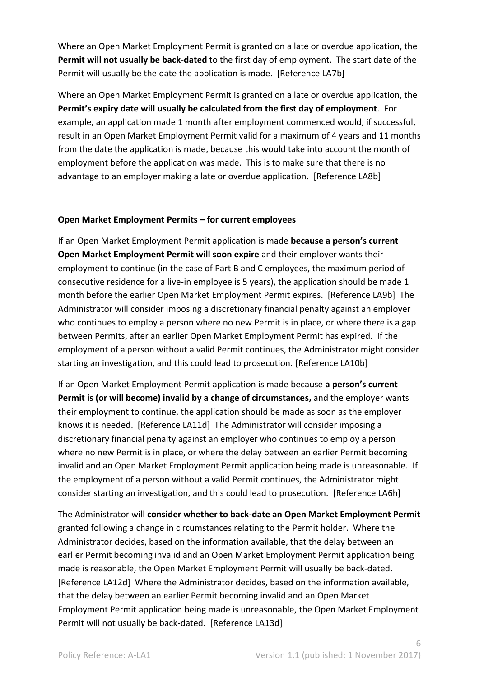Where an Open Market Employment Permit is granted on a late or overdue application, the **Permit will not usually be back-dated** to the first day of employment. The start date of the Permit will usually be the date the application is made. [Reference LA7b]

Where an Open Market Employment Permit is granted on a late or overdue application, the **Permit's expiry date will usually be calculated from the first day of employment**. For example, an application made 1 month after employment commenced would, if successful, result in an Open Market Employment Permit valid for a maximum of 4 years and 11 months from the date the application is made, because this would take into account the month of employment before the application was made. This is to make sure that there is no advantage to an employer making a late or overdue application. [Reference LA8b]

## **Open Market Employment Permits – for current employees**

If an Open Market Employment Permit application is made **because a person's current Open Market Employment Permit will soon expire** and their employer wants their employment to continue (in the case of Part B and C employees, the maximum period of consecutive residence for a live-in employee is 5 years), the application should be made 1 month before the earlier Open Market Employment Permit expires. [Reference LA9b] The Administrator will consider imposing a discretionary financial penalty against an employer who continues to employ a person where no new Permit is in place, or where there is a gap between Permits, after an earlier Open Market Employment Permit has expired. If the employment of a person without a valid Permit continues, the Administrator might consider starting an investigation, and this could lead to prosecution. [Reference LA10b]

If an Open Market Employment Permit application is made because **a person's current Permit is (or will become) invalid by a change of circumstances,** and the employer wants their employment to continue, the application should be made as soon as the employer knows it is needed. [Reference LA11d] The Administrator will consider imposing a discretionary financial penalty against an employer who continues to employ a person where no new Permit is in place, or where the delay between an earlier Permit becoming invalid and an Open Market Employment Permit application being made is unreasonable. If the employment of a person without a valid Permit continues, the Administrator might consider starting an investigation, and this could lead to prosecution. [Reference LA6h]

The Administrator will **consider whether to back-date an Open Market Employment Permit** granted following a change in circumstances relating to the Permit holder. Where the Administrator decides, based on the information available, that the delay between an earlier Permit becoming invalid and an Open Market Employment Permit application being made is reasonable, the Open Market Employment Permit will usually be back-dated. [Reference LA12d] Where the Administrator decides, based on the information available, that the delay between an earlier Permit becoming invalid and an Open Market Employment Permit application being made is unreasonable, the Open Market Employment Permit will not usually be back-dated. [Reference LA13d]